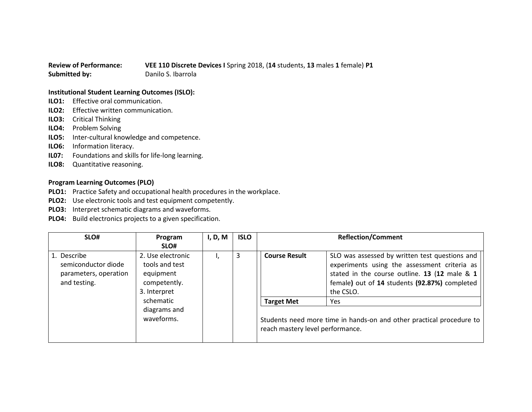## **Review of Performance: VEE 110 Discrete Devices I** Spring 2018, (**14** students, **13** males **1** female) **P1 Submitted by:** Danilo S. Ibarrola

## **Institutional Student Learning Outcomes (ISLO):**

- **ILO1:** Effective oral communication.
- **ILO2:** Effective written communication.
- **ILO3:** Critical Thinking
- **ILO4:** Problem Solving
- **ILO5:** Inter-cultural knowledge and competence.
- **ILO6:** Information literacy.
- **IL07:** Foundations and skills for life-long learning.
- **ILO8:** Quantitative reasoning.

## **Program Learning Outcomes (PLO)**

- **PLO1:** Practice Safety and occupational health procedures in the workplace.
- **PLO2:** Use electronic tools and test equipment competently.
- **PLO3:** Interpret schematic diagrams and waveforms.
- **PLO4:** Build electronics projects to a given specification.

| SLO#                                                                        | Program                                                                          | I, D, M | <b>ISLO</b> | <b>Reflection/Comment</b>                                                                                |                                                                                                                                                                                                               |
|-----------------------------------------------------------------------------|----------------------------------------------------------------------------------|---------|-------------|----------------------------------------------------------------------------------------------------------|---------------------------------------------------------------------------------------------------------------------------------------------------------------------------------------------------------------|
|                                                                             | SLO#                                                                             |         |             |                                                                                                          |                                                                                                                                                                                                               |
| 1. Describe<br>semiconductor diode<br>parameters, operation<br>and testing. | 2. Use electronic<br>tools and test<br>equipment<br>competently.<br>3. Interpret |         | 3           | <b>Course Result</b>                                                                                     | SLO was assessed by written test questions and<br>experiments using the assessment criteria as<br>stated in the course outline. 13 (12 male & 1<br>female) out of 14 students (92.87%) completed<br>the CSLO. |
|                                                                             | schematic                                                                        |         |             | <b>Target Met</b>                                                                                        | Yes.                                                                                                                                                                                                          |
|                                                                             | diagrams and<br>waveforms.                                                       |         |             | Students need more time in hands-on and other practical procedure to<br>reach mastery level performance. |                                                                                                                                                                                                               |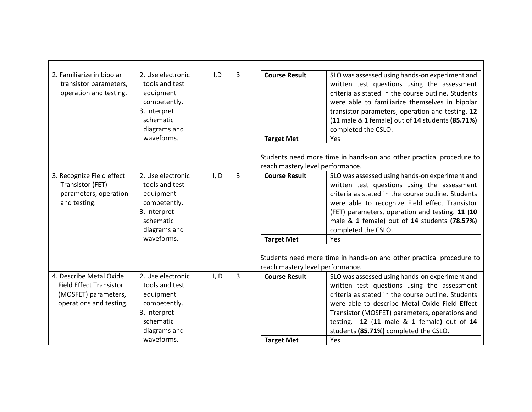| 2. Familiarize in bipolar<br>transistor parameters,<br>operation and testing.                                | 2. Use electronic<br>tools and test<br>equipment<br>competently.<br>3. Interpret<br>schematic<br>diagrams and<br>waveforms. | I, D | 3 | <b>Course Result</b><br><b>Target Met</b>                                     | SLO was assessed using hands-on experiment and<br>written test questions using the assessment<br>criteria as stated in the course outline. Students<br>were able to familiarize themselves in bipolar<br>transistor parameters, operation and testing. 12<br>(11 male & 1 female) out of 14 students (85.71%)<br>completed the CSLO.<br>Yes                                                                    |
|--------------------------------------------------------------------------------------------------------------|-----------------------------------------------------------------------------------------------------------------------------|------|---|-------------------------------------------------------------------------------|----------------------------------------------------------------------------------------------------------------------------------------------------------------------------------------------------------------------------------------------------------------------------------------------------------------------------------------------------------------------------------------------------------------|
|                                                                                                              |                                                                                                                             |      |   | reach mastery level performance.                                              | Students need more time in hands-on and other practical procedure to                                                                                                                                                                                                                                                                                                                                           |
| 3. Recognize Field effect<br>Transistor (FET)<br>parameters, operation<br>and testing.                       | 2. Use electronic<br>tools and test<br>equipment<br>competently.<br>3. Interpret<br>schematic<br>diagrams and<br>waveforms. | I, D | 3 | <b>Course Result</b><br><b>Target Met</b><br>reach mastery level performance. | SLO was assessed using hands-on experiment and<br>written test questions using the assessment<br>criteria as stated in the course outline. Students<br>were able to recognize Field effect Transistor<br>(FET) parameters, operation and testing. 11 (10<br>male & 1 female) out of 14 students (78.57%)<br>completed the CSLO.<br>Yes<br>Students need more time in hands-on and other practical procedure to |
| 4. Describe Metal Oxide<br><b>Field Effect Transistor</b><br>(MOSFET) parameters,<br>operations and testing. | 2. Use electronic<br>tools and test<br>equipment<br>competently.<br>3. Interpret<br>schematic<br>diagrams and<br>waveforms. | I, D | 3 | <b>Course Result</b><br><b>Target Met</b>                                     | SLO was assessed using hands-on experiment and<br>written test questions using the assessment<br>criteria as stated in the course outline. Students<br>were able to describe Metal Oxide Field Effect<br>Transistor (MOSFET) parameters, operations and<br>testing. 12 (11 male & 1 female) out of 14<br>students (85.71%) completed the CSLO.<br>Yes                                                          |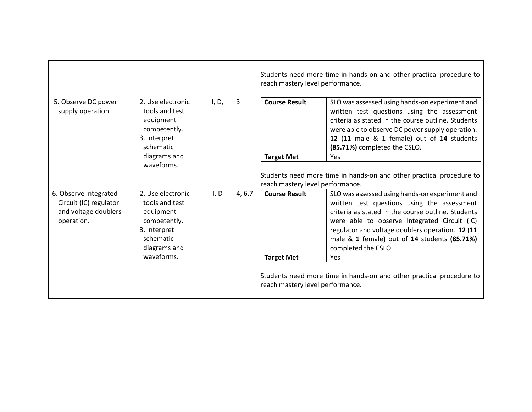|                                                                                                                                                                                                                |                                                                                               |                      |                                                                                                                                                                                                                                                                                                                                | reach mastery level performance. | Students need more time in hands-on and other practical procedure to                                                                                                                                                                                                                 |
|----------------------------------------------------------------------------------------------------------------------------------------------------------------------------------------------------------------|-----------------------------------------------------------------------------------------------|----------------------|--------------------------------------------------------------------------------------------------------------------------------------------------------------------------------------------------------------------------------------------------------------------------------------------------------------------------------|----------------------------------|--------------------------------------------------------------------------------------------------------------------------------------------------------------------------------------------------------------------------------------------------------------------------------------|
| 5. Observe DC power<br>supply operation.                                                                                                                                                                       | 2. Use electronic<br>tools and test<br>equipment<br>competently.<br>3. Interpret<br>schematic | I, D,                | 3                                                                                                                                                                                                                                                                                                                              | <b>Course Result</b>             | SLO was assessed using hands-on experiment and<br>written test questions using the assessment<br>criteria as stated in the course outline. Students<br>were able to observe DC power supply operation.<br>12 (11 male & 1 female) out of 14 students<br>(85.71%) completed the CSLO. |
|                                                                                                                                                                                                                | diagrams and                                                                                  |                      |                                                                                                                                                                                                                                                                                                                                | <b>Target Met</b>                | <b>Yes</b>                                                                                                                                                                                                                                                                           |
|                                                                                                                                                                                                                | waveforms.                                                                                    |                      |                                                                                                                                                                                                                                                                                                                                | reach mastery level performance. | Students need more time in hands-on and other practical procedure to                                                                                                                                                                                                                 |
| I, D<br>6. Observe Integrated<br>2. Use electronic<br>Circuit (IC) regulator<br>tools and test<br>and voltage doublers<br>equipment<br>operation.<br>competently.<br>3. Interpret<br>schematic<br>diagrams and | 4, 6, 7                                                                                       | <b>Course Result</b> | SLO was assessed using hands-on experiment and<br>written test questions using the assessment<br>criteria as stated in the course outline. Students<br>were able to observe Integrated Circuit (IC)<br>regulator and voltage doublers operation. 12 (11<br>male & 1 female) out of 14 students (85.71%)<br>completed the CSLO. |                                  |                                                                                                                                                                                                                                                                                      |
|                                                                                                                                                                                                                | waveforms.                                                                                    |                      |                                                                                                                                                                                                                                                                                                                                | <b>Target Met</b>                | <b>Yes</b>                                                                                                                                                                                                                                                                           |
|                                                                                                                                                                                                                |                                                                                               |                      |                                                                                                                                                                                                                                                                                                                                | reach mastery level performance. | Students need more time in hands-on and other practical procedure to                                                                                                                                                                                                                 |